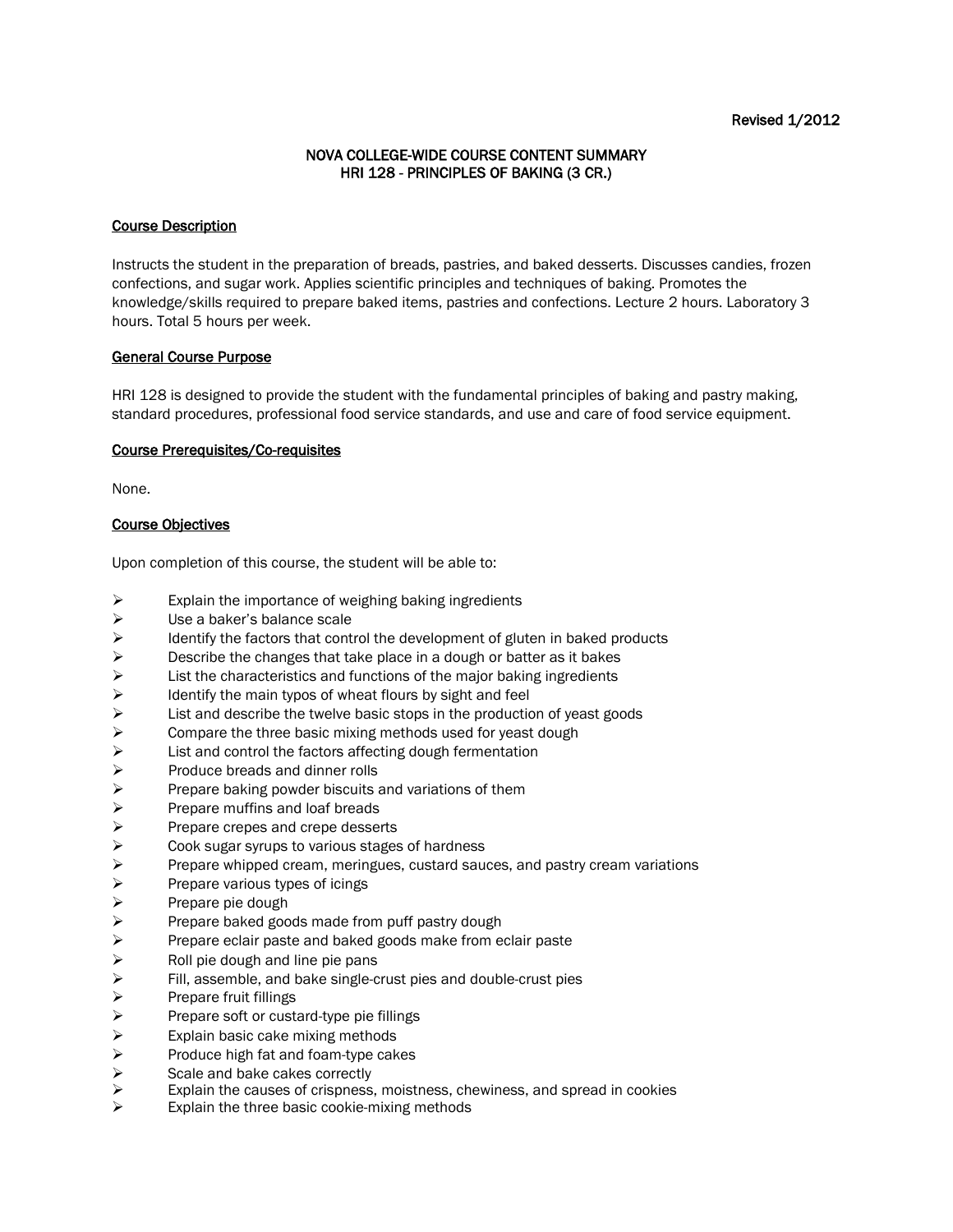## NOVA COLLEGE-WIDE COURSE CONTENT SUMMARY HRI 128 - PRINCIPLES OF BAKING (3 CR.)

#### Course Description

Instructs the student in the preparation of breads, pastries, and baked desserts. Discusses candies, frozen confections, and sugar work. Applies scientific principles and techniques of baking. Promotes the knowledge/skills required to prepare baked items, pastries and confections. Lecture 2 hours. Laboratory 3 hours. Total 5 hours per week.

#### General Course Purpose

HRI 128 is designed to provide the student with the fundamental principles of baking and pastry making, standard procedures, professional food service standards, and use and care of food service equipment.

#### Course Prerequisites/Co-requisites

None.

### Course Objectives

Upon completion of this course, the student will be able to:

- $\triangleright$  Explain the importance of weighing baking ingredients
- $\triangleright$  Use a baker's balance scale
- identify the factors that control the development of gluten in baked products<br>  $\triangleright$  Describe the changes that take place in a dough or batter as it bakes
- 
- $\triangleright$  Describe the changes that take place in a dough or batter as it bakes  $\triangleright$  List the characteristics and functions of the major baking ingredients  $\triangleright$  List the characteristics and functions of the major baking ingredients <br>  $\triangleright$  Identify the main typos of wheat flours by sight and feel
- 
- identify the main typos of wheat flours by sight and feel<br>  $\triangleright$  List and describe the twelve basic stops in the production List and describe the twelve basic stops in the production of yeast goods
- → Compare the three basic mixing methods used for yeast dough<br>
→ List and control the factors affecting dough fermentation<br>
→ Produce breads and dinner rolls
- List and control the factors affecting dough fermentation
- 
- $\triangleright$  Produce breads and dinner rolls<br>  $\triangleright$  Prepare baking powder biscuits a
- Prepare muffins and loaf breads
- Prepare crepes and crepe desserts
- Cook sugar syrups to various stages of hardness
- → Prepare baking powder biscuits and variations of them<br>
Prepare muffins and loaf breads<br>
→ Prepare crepes and crepe desserts<br>
→ Cook sugar syrups to various stages of hardness<br>
→ Prepare whipped cream, meringues, custard Prepare whipped cream, meringues, custard sauces, and pastry cream variations
- 
- Prepare pie dough
- → Prepare various types of icings<br>
→ Prepare pie dough<br>
→ Prepare baked goods made fro<br>
→ Prepare eclair paste and baked<br>
→ Roll pie dough and line pie pan Prepare baked goods made from puff pastry dough
- Prepare eclair paste and baked goods make from eclair paste
- 
- → Roll pie dough and line pie pans<br>
→ Fill, assemble, and bake single-c<br>
→ Prepare fruit fillings<br>
→ Prepare soft or custard-type pie f Fill, assemble, and bake single-crust pies and double-crust pies
- Prepare fruit fillings
- → Prepare soft or custard-type pie fillings<br>
→ Explain basic cake mixing methods<br>
→ Produce high fat and foam-type cakes<br>
→ Scale and bake cakes correctly<br>
→ Explain the causes of crispness, moistr
- Explain basic cake mixing methods
- Produce high fat and foam-type cakes
- Scale and bake cakes correctly
- Explain the causes of crispness, moistness, chewiness, and spread in cookies<br>
Explain the three basic cookie-mixing methods
- Explain the three basic cookie-mixing methods